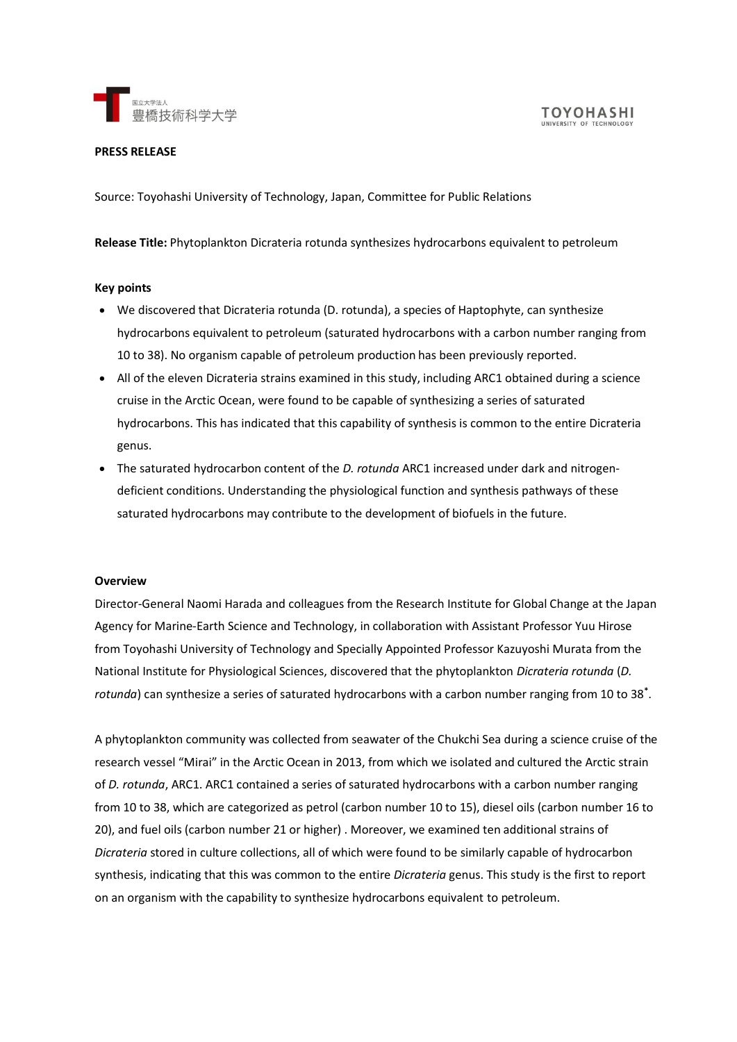

#### **PRESS RELEASE**

Source: Toyohashi University of Technology, Japan, Committee for Public Relations

# **Release Title:** Phytoplankton Dicrateria rotunda synthesizes hydrocarbons equivalent to petroleum

## **Key points**

- We discovered that Dicrateria rotunda (D. rotunda), a species of Haptophyte, can synthesize hydrocarbons equivalent to petroleum (saturated hydrocarbons with a carbon number ranging from 10 to 38). No organism capable of petroleum production has been previously reported.
- All of the eleven Dicrateria strains examined in this study, including ARC1 obtained during a science cruise in the Arctic Ocean, were found to be capable of synthesizing a series of saturated hydrocarbons. This has indicated that this capability of synthesis is common to the entire Dicrateria genus.
- The saturated hydrocarbon content of the *D. rotunda* ARC1 increased under dark and nitrogendeficient conditions. Understanding the physiological function and synthesis pathways of these saturated hydrocarbons may contribute to the development of biofuels in the future.

### **Overview**

Director-General Naomi Harada and colleagues from the Research Institute for Global Change at the Japan Agency for Marine-Earth Science and Technology, in collaboration with Assistant Professor Yuu Hirose from Toyohashi University of Technology and Specially Appointed Professor Kazuyoshi Murata from the National Institute for Physiological Sciences, discovered that the phytoplankton *Dicrateria rotunda* (*D. rotunda*) can synthesize a series of saturated hydrocarbons with a carbon number ranging from 10 to 38**\*** .

A phytoplankton community was collected from seawater of the Chukchi Sea during a science cruise of the research vessel "Mirai" in the Arctic Ocean in 2013, from which we isolated and cultured the Arctic strain of *D. rotunda*, ARC1. ARC1 contained a series of saturated hydrocarbons with a carbon number ranging from 10 to 38, which are categorized as petrol (carbon number 10 to 15), diesel oils (carbon number 16 to 20), and fuel oils (carbon number 21 or higher) . Moreover, we examined ten additional strains of *Dicrateria* stored in culture collections, all of which were found to be similarly capable of hydrocarbon synthesis, indicating that this was common to the entire *Dicrateria* genus. This study is the first to report on an organism with the capability to synthesize hydrocarbons equivalent to petroleum.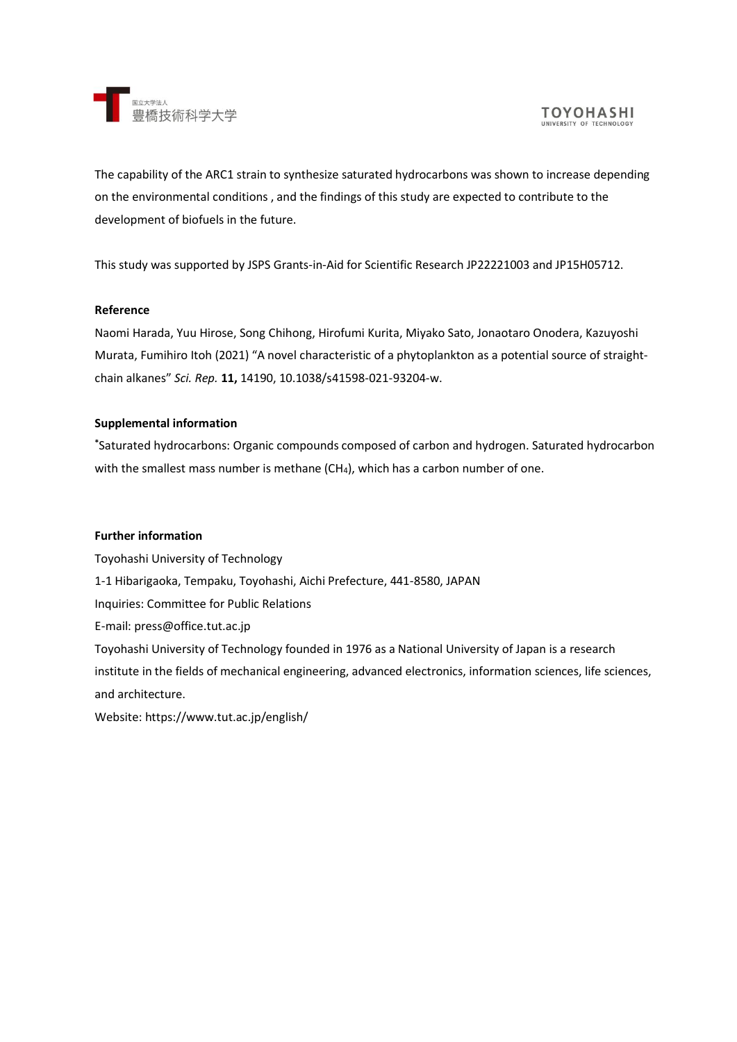

The capability of the ARC1 strain to synthesize saturated hydrocarbons was shown to increase depending on the environmental conditions , and the findings of this study are expected to contribute to the development of biofuels in the future.

This study was supported by JSPS Grants-in-Aid for Scientific Research JP22221003 and JP15H05712.

### **Reference**

Naomi Harada, Yuu Hirose, Song Chihong, Hirofumi Kurita, Miyako Sato, Jonaotaro Onodera, Kazuyoshi Murata, Fumihiro Itoh (2021) "A novel characteristic of a phytoplankton as a potential source of straightchain alkanes" *Sci. Rep.* **11,** 14190, 10.1038/s41598-021-93204-w.

## **Supplemental information**

**\***Saturated hydrocarbons: Organic compounds composed of carbon and hydrogen. Saturated hydrocarbon with the smallest mass number is methane  $(CH_4)$ , which has a carbon number of one.

### **Further information**

Toyohashi University of Technology 1-1 Hibarigaoka, Tempaku, Toyohashi, Aichi Prefecture, 441-8580, JAPAN Inquiries: Committee for Public Relations E-mail: press@office.tut.ac.jp Toyohashi University of Technology founded in 1976 as a National University of Japan is a research institute in the fields of mechanical engineering, advanced electronics, information sciences, life sciences, and architecture.

Website: https://www.tut.ac.jp/english/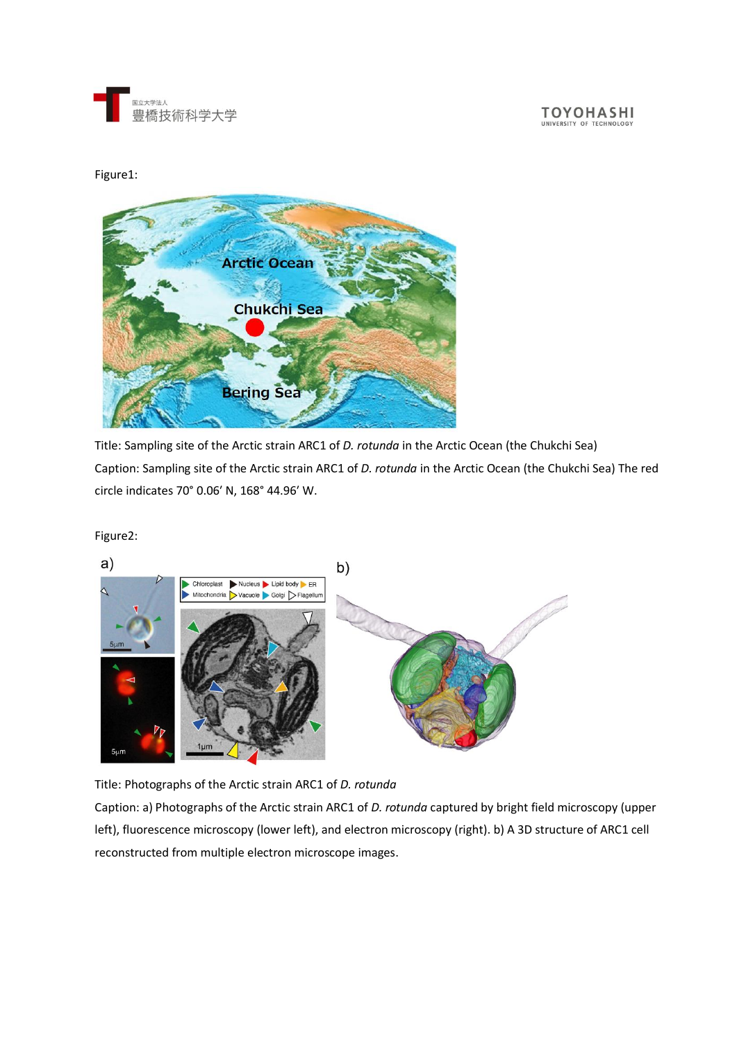

**TOYOHASHI** UNIVERSITY OF TECHNOL

Figure1:



Title: Sampling site of the Arctic strain ARC1 of *D. rotunda* in the Arctic Ocean (the Chukchi Sea) Caption: Sampling site of the Arctic strain ARC1 of *D. rotunda* in the Arctic Ocean (the Chukchi Sea) The red circle indicates 70° 0.06ʹ N, 168° 44.96ʹ W.

Figure2:

 $a)$ 



Title: Photographs of the Arctic strain ARC1 of *D. rotunda*

Caption: a) Photographs of the Arctic strain ARC1 of *D. rotunda* captured by bright field microscopy (upper left), fluorescence microscopy (lower left), and electron microscopy (right). b) A 3D structure of ARC1 cell reconstructed from multiple electron microscope images.